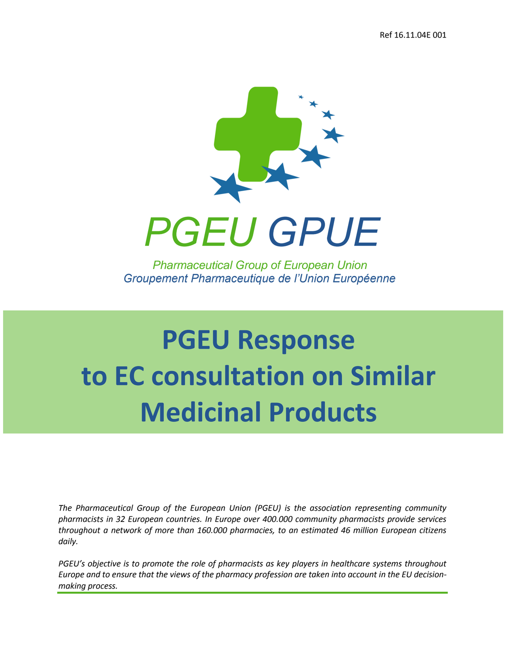

## **PGEU Response to EC consultation on Similar Medicinal Products**

*The Pharmaceutical Group of the European Union (PGEU) is the association representing community pharmacists in 32 European countries. In Europe over 400.000 community pharmacists provide services throughout a network of more than 160.000 pharmacies, to an estimated 46 million European citizens daily.* 

*PGEU's objective is to promote the role of pharmacists as key players in healthcare systems throughout Europe and to ensure that the views of the pharmacy profession are taken into account in the EU decisionmaking process.*